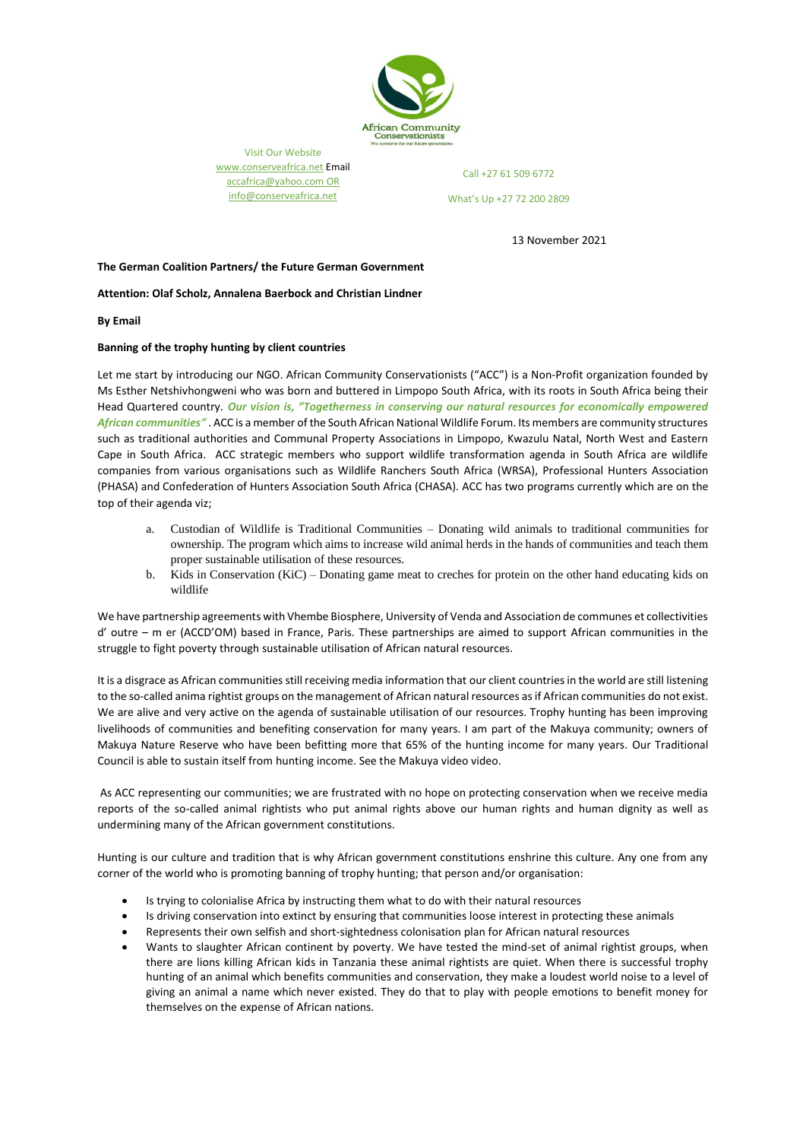

Visit Our Website [www.conserveafrica.net](http://www.conserveafrica.net/) Email [accafrica@yahoo.com](mailto:accafrica@yahoo.com) OR info@conserveafrica.net

Call +27 61 509 6772

What's Up +27 72 200 2809

13 November 2021

## **The German Coalition Partners/ the Future German Government**

**Attention: Olaf Scholz, Annalena Baerbock and Christian Lindner**

**By Email**

## **Banning of the trophy hunting by client countries**

Let me start by introducing our NGO. African Community Conservationists ("ACC") is a Non-Profit organization founded by Ms Esther Netshivhongweni who was born and buttered in Limpopo South Africa, with its roots in South Africa being their Head Quartered country. *Our vision is, "Togetherness in conserving our natural resources for economically empowered African communities"* . ACC is a member of the South African National Wildlife Forum. Its members are community structures such as traditional authorities and Communal Property Associations in Limpopo, Kwazulu Natal, North West and Eastern Cape in South Africa. ACC strategic members who support wildlife transformation agenda in South Africa are wildlife companies from various organisations such as Wildlife Ranchers South Africa (WRSA), Professional Hunters Association (PHASA) and Confederation of Hunters Association South Africa (CHASA). ACC has two programs currently which are on the top of their agenda viz;

- a. Custodian of Wildlife is Traditional Communities Donating wild animals to traditional communities for ownership. The program which aims to increase wild animal herds in the hands of communities and teach them proper sustainable utilisation of these resources.
- b. Kids in Conservation (KiC) Donating game meat to creches for protein on the other hand educating kids on wildlife

We have partnership agreements with Vhembe Biosphere, University of Venda and Association de communes et collectivities d' outre – m er (ACCD'OM) based in France, Paris. These partnerships are aimed to support African communities in the struggle to fight poverty through sustainable utilisation of African natural resources.

It is a disgrace as African communities still receiving media information that our client countries in the world are still listening to the so-called anima rightist groups on the management of African natural resources as if African communities do not exist. We are alive and very active on the agenda of sustainable utilisation of our resources. Trophy hunting has been improving livelihoods of communities and benefiting conservation for many years. I am part of the Makuya community; owners of Makuya Nature Reserve who have been befitting more that 65% of the hunting income for many years. Our Traditional Council is able to sustain itself from hunting income. See the Makuya video video.

As ACC representing our communities; we are frustrated with no hope on protecting conservation when we receive media reports of the so-called animal rightists who put animal rights above our human rights and human dignity as well as undermining many of the African government constitutions.

Hunting is our culture and tradition that is why African government constitutions enshrine this culture. Any one from any corner of the world who is promoting banning of trophy hunting; that person and/or organisation:

- Is trying to colonialise Africa by instructing them what to do with their natural resources
- Is driving conservation into extinct by ensuring that communities loose interest in protecting these animals
- Represents their own selfish and short-sightedness colonisation plan for African natural resources
- Wants to slaughter African continent by poverty. We have tested the mind-set of animal rightist groups, when there are lions killing African kids in Tanzania these animal rightists are quiet. When there is successful trophy hunting of an animal which benefits communities and conservation, they make a loudest world noise to a level of giving an animal a name which never existed. They do that to play with people emotions to benefit money for themselves on the expense of African nations.